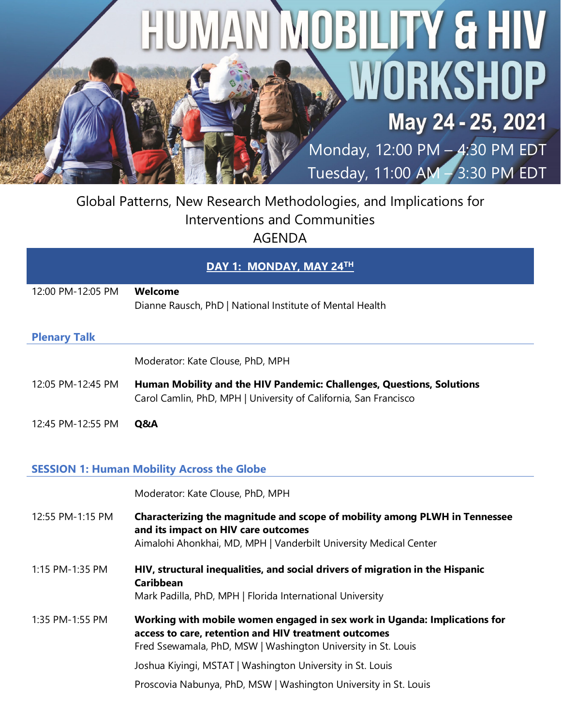# HUMAN MOBILITY & HIV WORKSHOP May 24 - 25, 2021

Monday, 12:00 PM – 4:30 PM EDT Tuesday, 11:00 AM – 3:30 PM EDT

# Global Patterns, New Research Methodologies, and Implications for Interventions and Communities AGENDA

#### **DAY 1: MONDAY, MAY 24TH**

| Welcome<br>Dianne Rausch, PhD   National Institute of Mental Health                                                                       |
|-------------------------------------------------------------------------------------------------------------------------------------------|
|                                                                                                                                           |
|                                                                                                                                           |
| Moderator: Kate Clouse, PhD, MPH                                                                                                          |
| Human Mobility and the HIV Pandemic: Challenges, Questions, Solutions<br>Carol Camlin, PhD, MPH   University of California, San Francisco |
| O&A                                                                                                                                       |
|                                                                                                                                           |

#### **SESSION 1: Human Mobility Across the Globe**

`

|                  | Moderator: Kate Clouse, PhD, MPH                                                                                                                                                                   |
|------------------|----------------------------------------------------------------------------------------------------------------------------------------------------------------------------------------------------|
| 12:55 PM-1:15 PM | Characterizing the magnitude and scope of mobility among PLWH in Tennessee<br>and its impact on HIV care outcomes<br>Aimalohi Ahonkhai, MD, MPH   Vanderbilt University Medical Center             |
| 1:15 PM-1:35 PM  | HIV, structural inequalities, and social drivers of migration in the Hispanic<br><b>Caribbean</b><br>Mark Padilla, PhD, MPH   Florida International University                                     |
| 1:35 PM-1:55 PM  | Working with mobile women engaged in sex work in Uganda: Implications for<br>access to care, retention and HIV treatment outcomes<br>Fred Ssewamala, PhD, MSW   Washington University in St. Louis |
|                  | Joshua Kiyingi, MSTAT   Washington University in St. Louis                                                                                                                                         |
|                  | Proscovia Nabunya, PhD, MSW   Washington University in St. Louis                                                                                                                                   |
|                  |                                                                                                                                                                                                    |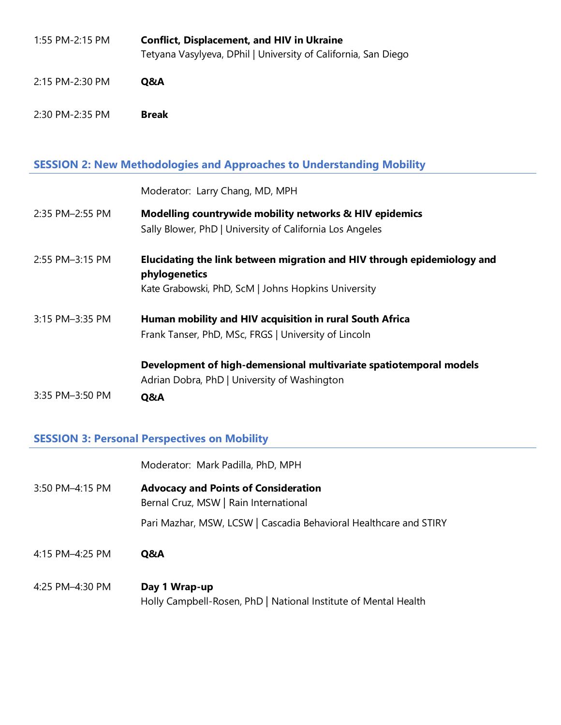| 1:55 PM-2:15 PM | <b>Conflict, Displacement, and HIV in Ukraine</b>              |
|-----------------|----------------------------------------------------------------|
|                 | Tetyana Vasylyeva, DPhil   University of California, San Diego |

- 2:15 PM-2:30 PM **Q&A**
- 2:30 PM-2:35 PM **Break**

# **SESSION 2: New Methodologies and Approaches to Understanding Mobility**

|                 | Moderator: Larry Chang, MD, MPH                                                                                                                 |
|-----------------|-------------------------------------------------------------------------------------------------------------------------------------------------|
| 2:35 PM-2:55 PM | <b>Modelling countrywide mobility networks &amp; HIV epidemics</b><br>Sally Blower, PhD   University of California Los Angeles                  |
| 2:55 PM-3:15 PM | Elucidating the link between migration and HIV through epidemiology and<br>phylogenetics<br>Kate Grabowski, PhD, ScM   Johns Hopkins University |
| 3:15 PM-3:35 PM | Human mobility and HIV acquisition in rural South Africa<br>Frank Tanser, PhD, MSc, FRGS   University of Lincoln                                |
| 3:35 PM-3:50 PM | Development of high-demensional multivariate spatiotemporal models<br>Adrian Dobra, PhD   University of Washington<br>Q&A                       |

### **SESSION 3: Personal Perspectives on Mobility**

|                 | Moderator: Mark Padilla, PhD, MPH                                                    |
|-----------------|--------------------------------------------------------------------------------------|
| 3:50 PM-4:15 PM | <b>Advocacy and Points of Consideration</b><br>Bernal Cruz, MSW   Rain International |
|                 | Pari Mazhar, MSW, LCSW   Cascadia Behavioral Healthcare and STIRY                    |
|                 |                                                                                      |
| 4:15 PM-4:25 PM | Q&A                                                                                  |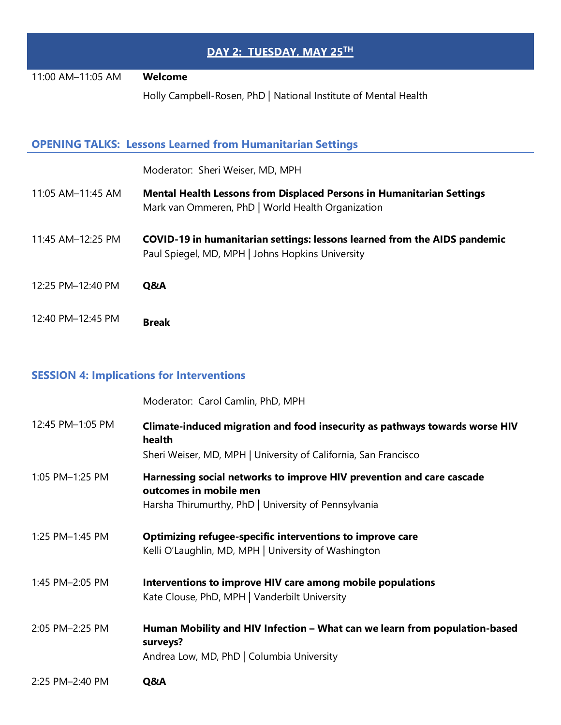| DAY 2: TUESDAY, MAY 25TH |                                                                                                                                   |  |
|--------------------------|-----------------------------------------------------------------------------------------------------------------------------------|--|
| 11:00 AM-11:05 AM        | Welcome                                                                                                                           |  |
|                          | Holly Campbell-Rosen, PhD   National Institute of Mental Health                                                                   |  |
|                          | <b>OPENING TALKS: Lessons Learned from Humanitarian Settings</b>                                                                  |  |
|                          | Moderator: Sheri Weiser, MD, MPH                                                                                                  |  |
| 11:05 AM-11:45 AM        | <b>Mental Health Lessons from Displaced Persons in Humanitarian Settings</b><br>Mark van Ommeren, PhD   World Health Organization |  |
| 11:45 AM-12:25 PM        | COVID-19 in humanitarian settings: lessons learned from the AIDS pandemic<br>Paul Spiegel, MD, MPH   Johns Hopkins University     |  |
| 12:25 PM-12:40 PM        | Q&A                                                                                                                               |  |
| 12:40 PM-12:45 PM        | <b>Break</b>                                                                                                                      |  |

# **SESSION 4: Implications for Interventions**

|                  | Moderator: Carol Camlin, PhD, MPH                                                                                                                        |
|------------------|----------------------------------------------------------------------------------------------------------------------------------------------------------|
| 12:45 PM-1:05 PM | Climate-induced migration and food insecurity as pathways towards worse HIV<br>health<br>Sheri Weiser, MD, MPH   University of California, San Francisco |
| 1:05 PM-1:25 PM  | Harnessing social networks to improve HIV prevention and care cascade<br>outcomes in mobile men<br>Harsha Thirumurthy, PhD   University of Pennsylvania  |
| 1:25 PM-1:45 PM  | Optimizing refugee-specific interventions to improve care<br>Kelli O'Laughlin, MD, MPH   University of Washington                                        |
| 1:45 PM-2:05 PM  | Interventions to improve HIV care among mobile populations<br>Kate Clouse, PhD, MPH   Vanderbilt University                                              |
| 2:05 PM-2:25 PM  | Human Mobility and HIV Infection - What can we learn from population-based<br>surveys?<br>Andrea Low, MD, PhD   Columbia University                      |
| 2:25 PM-2:40 PM  | Q&A                                                                                                                                                      |